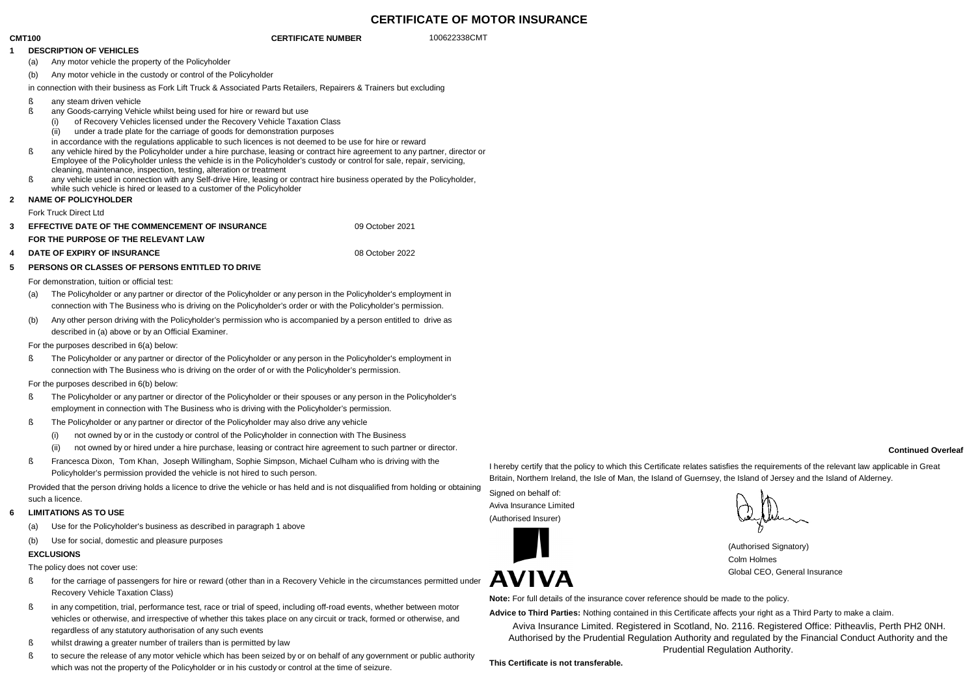## **CERTIFICATE OF MOTOR INSURANCE**

## **CMT100 CERTIFICATE NUMBER** 100622338CMT

#### **1 DESCRIPTION OF VEHICLES**

(a) Any motor vehicle the property of the Policyholder

(b) Any motor vehicle in the custody or control of the Policyholder

in connection with their business as Fork Lift Truck & Associated Parts Retailers, Repairers & Trainers but excluding

- ß any steam driven vehicle
- ß any Goods-carrying Vehicle whilst being used for hire or reward but use
	- (i) of Recovery Vehicles licensed under the Recovery Vehicle Taxation Class
	- (ii) under a trade plate for the carriage of goods for demonstration purposes
	- in accordance with the regulations applicable to such licences is not deemed to be use for hire or reward
- ß any vehicle hired by the Policyholder under a hire purchase, leasing or contract hire agreement to any partner, director or Employee of the Policyholder unless the vehicle is in the Policyholder's custody or control for sale, repair, servicing, cleaning, maintenance, inspection, testing, alteration or treatment
- ß any vehicle used in connection with any Self-drive Hire, leasing or contract hire business operated by the Policyholder, while such vehicle is hired or leased to a customer of the Policyholder

#### **2 NAME OF POLICYHOLDER**

Fork Truck Direct Ltd

| <b>EFFECTIVE DATE OF THE COMMENCEMENT OF INSURANCE</b> | 09 October 2021 |
|--------------------------------------------------------|-----------------|
| FOR THE PURPOSE OF THE RELEVANT LAW                    |                 |
| <b>DATE OF EXPIRY OF INSURANCE</b>                     | 08 October 2022 |

# **5 PERSONS OR CLASSES OF PERSONS ENTITLED TO DRIVE**

# For demonstration, tuition or official test:

- (a) The Policyholder or any partner or director of the Policyholder or any person in the Policyholder's employment in connection with The Business who is driving on the Policyholder's order or with the Policyholder's permission.
- (b) Any other person driving with the Policyholder's permission who is accompanied by a person entitled to drive as described in (a) above or by an Official Examiner.

#### For the purposes described in 6(a) below:

ß The Policyholder or any partner or director of the Policyholder or any person in the Policyholder's employment in connection with The Business who is driving on the order of or with the Policyholder's permission.

## For the purposes described in 6(b) below:

- ß The Policyholder or any partner or director of the Policyholder or their spouses or any person in the Policyholder's employment in connection with The Business who is driving with the Policyholder's permission.
- ß The Policyholder or any partner or director of the Policyholder may also drive any vehicle
	- (i) not owned by or in the custody or control of the Policyholder in connection with The Business
	- (ii) not owned by or hired under a hire purchase, leasing or contract hire agreement to such partner or director.
- ß Francesca Dixon, Tom Khan, Joseph Willingham, Sophie Simpson, Michael Culham who is driving with the Policyholder's permission provided the vehicle is not hired to such person.

Provided that the person driving holds a licence to drive the vehicle or has held and is not disqualified from holding or obtaining such a licence.

## **6 LIMITATIONS AS TO USE**

- (a) Use for the Policyholder's business as described in paragraph 1 above
- (b) Use for social, domestic and pleasure purposes

## **EXCLUSIONS**

The policy does not cover use:

- $\mathbb{R}$  for the carriage of passengers for hire or reward (other than in a Recovery Vehicle in the circumstances permitted under  $\mathbf{AVN}$ Recovery Vehicle Taxation Class)
- ß in any competition, trial, performance test, race or trial of speed, including off-road events, whether between motor vehicles or otherwise, and irrespective of whether this takes place on any circuit or track, formed or otherwise, and regardless of any statutory authorisation of any such events
- ß whilst drawing a greater number of trailers than is permitted by law
- ß to secure the release of any motor vehicle which has been seized by or on behalf of any government or public authority which was not the property of the Policyholder or in his custody or control at the time of seizure.

I hereby certify that the policy to which this Certificate relates satisfies the requirements of the relevant law applicable in Great Britain, Northern Ireland, the Isle of Man, the Island of Guernsey, the Island of Jersey and the Island of Alderney.

Signed on behalf of: Aviva Insurance Limited (Authorised Insurer)

(Authorised Signatory) Colm Holmes Global CEO, General Insurance

**Note:** For full details of the insurance cover reference should be made to the policy.

**Advice to Third Parties:** Nothing contained in this Certificate affects your right as a Third Party to make a claim.

Aviva Insurance Limited. Registered in Scotland, No. 2116. Registered Office: Pitheavlis, Perth PH2 0NH. Authorised by the Prudential Regulation Authority and regulated by the Financial Conduct Authority and the Prudential Regulation Authority.

**This Certificate is not transferable.**

#### **Continued Overleaf**